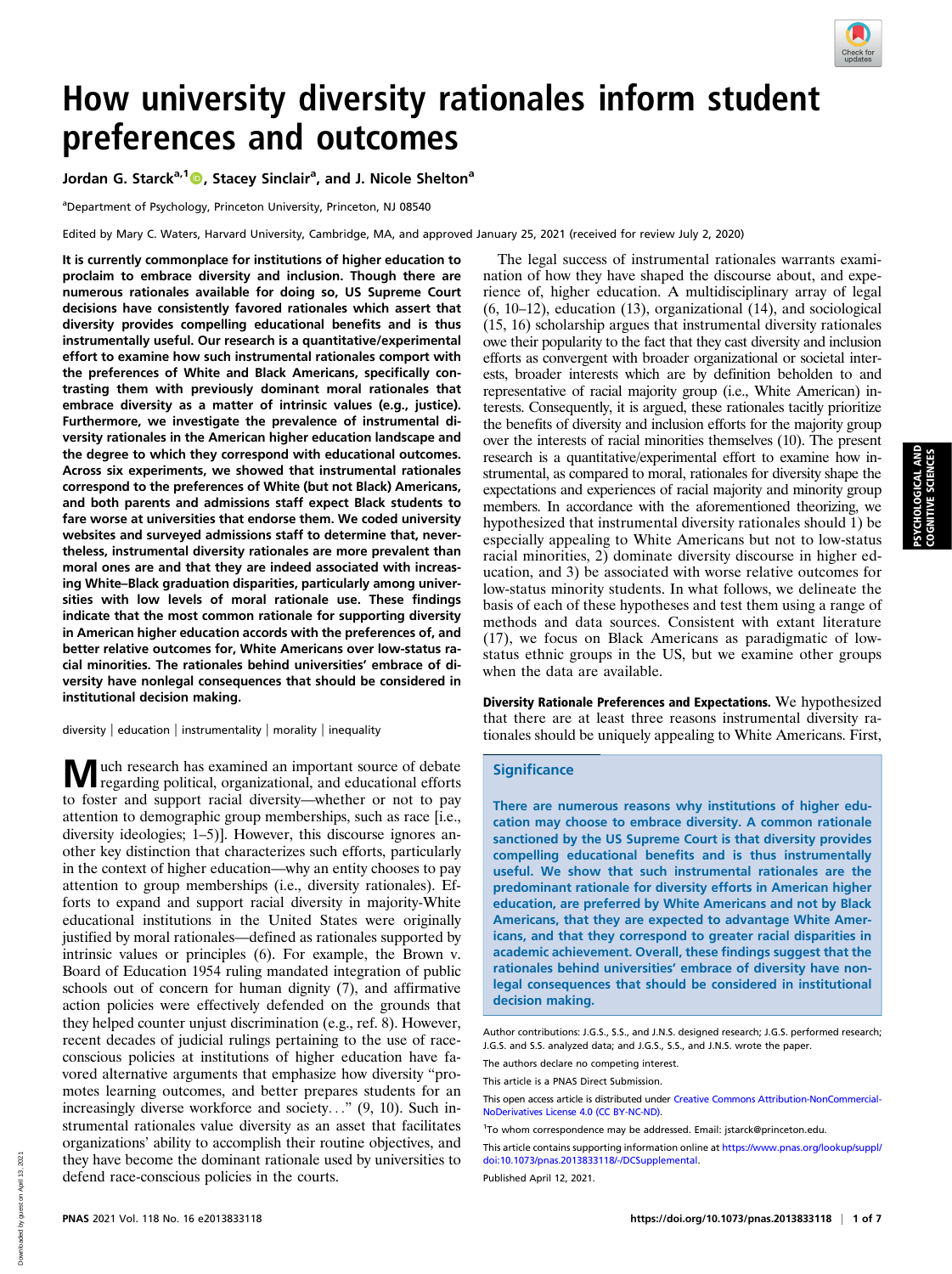

# How university diversity rationales inform student preferences and outcomes

Jordan G. Starck<sup>a,1</sup> (D, Stacey Sinclair<sup>a</sup>, and J. Nicole Shelton<sup>a</sup>

<sup>a</sup>Department of Psychology, Princeton University, Princeton, NJ 08540

Edited by Mary C. Waters, Harvard University, Cambridge, MA, and approved January 25, 2021 (received for review July 2, 2020)

It is currently commonplace for institutions of higher education to proclaim to embrace diversity and inclusion. Though there are numerous rationales available for doing so, US Supreme Court decisions have consistently favored rationales which assert that diversity provides compelling educational benefits and is thus instrumentally useful. Our research is a quantitative/experimental effort to examine how such instrumental rationales comport with the preferences of White and Black Americans, specifically contrasting them with previously dominant moral rationales that embrace diversity as a matter of intrinsic values (e.g., justice). Furthermore, we investigate the prevalence of instrumental diversity rationales in the American higher education landscape and the degree to which they correspond with educational outcomes. Across six experiments, we showed that instrumental rationales correspond to the preferences of White (but not Black) Americans, and both parents and admissions staff expect Black students to fare worse at universities that endorse them. We coded university websites and surveyed admissions staff to determine that, nevertheless, instrumental diversity rationales are more prevalent than moral ones are and that they are indeed associated with increasing White–Black graduation disparities, particularly among universities with low levels of moral rationale use. These findings indicate that the most common rationale for supporting diversity in American higher education accords with the preferences of, and better relative outcomes for, White Americans over low-status racial minorities. The rationales behind universities' embrace of diversity have nonlegal consequences that should be considered in institutional decision making.

diversity | education | instrumentality | morality | inequality

Much research has examined an important source of debate regarding political, organizational, and educational efforts to foster and support racial diversity—whether or not to pay attention to demographic group memberships, such as race [i.e., diversity ideologies; 1–5)]. However, this discourse ignores another key distinction that characterizes such efforts, particularly in the context of higher education—why an entity chooses to pay attention to group memberships (i.e., diversity rationales). Efforts to expand and support racial diversity in majority-White educational institutions in the United States were originally justified by moral rationales—defined as rationales supported by intrinsic values or principles (6). For example, the Brown v. Board of Education 1954 ruling mandated integration of public schools out of concern for human dignity (7), and affirmative action policies were effectively defended on the grounds that they helped counter unjust discrimination (e.g., ref. 8). However, recent decades of judicial rulings pertaining to the use of raceconscious policies at institutions of higher education have favored alternative arguments that emphasize how diversity "promotes learning outcomes, and better prepares students for an increasingly diverse workforce and society..." (9, 10). Such instrumental rationales value diversity as an asset that facilitates organizations' ability to accomplish their routine objectives, and they have become the dominant rationale used by universities to defend race-conscious policies in the courts.

The legal success of instrumental rationales warrants examination of how they have shaped the discourse about, and experience of, higher education. A multidisciplinary array of legal (6, 10–12), education (13), organizational (14), and sociological (15, 16) scholarship argues that instrumental diversity rationales owe their popularity to the fact that they cast diversity and inclusion efforts as convergent with broader organizational or societal interests, broader interests which are by definition beholden to and representative of racial majority group (i.e., White American) interests. Consequently, it is argued, these rationales tacitly prioritize the benefits of diversity and inclusion efforts for the majority group over the interests of racial minorities themselves (10). The present research is a quantitative/experimental effort to examine how instrumental, as compared to moral, rationales for diversity shape the expectations and experiences of racial majority and minority group members. In accordance with the aforementioned theorizing, we hypothesized that instrumental diversity rationales should 1) be especially appealing to White Americans but not to low-status racial minorities, 2) dominate diversity discourse in higher education, and 3) be associated with worse relative outcomes for low-status minority students. In what follows, we delineate the basis of each of these hypotheses and test them using a range of methods and data sources. Consistent with extant literature (17), we focus on Black Americans as paradigmatic of lowstatus ethnic groups in the US, but we examine other groups when the data are available.

Diversity Rationale Preferences and Expectations. We hypothesized that there are at least three reasons instrumental diversity rationales should be uniquely appealing to White Americans. First,

## **Significance**

There are numerous reasons why institutions of higher education may choose to embrace diversity. A common rationale sanctioned by the US Supreme Court is that diversity provides compelling educational benefits and is thus instrumentally useful. We show that such instrumental rationales are the predominant rationale for diversity efforts in American higher education, are preferred by White Americans and not by Black Americans, that they are expected to advantage White Americans, and that they correspond to greater racial disparities in academic achievement. Overall, these findings suggest that the rationales behind universities' embrace of diversity have nonlegal consequences that should be considered in institutional decision making.

The authors declare no competing interest.

This article is a PNAS Direct Submission.

This open access article is distributed under [Creative Commons Attribution-NonCommercial-](https://creativecommons.org/licenses/by-nc-nd/4.0/)[NoDerivatives License 4.0 \(CC BY-NC-ND\).](https://creativecommons.org/licenses/by-nc-nd/4.0/)

Published April 12, 2021.

Author contributions: J.G.S., S.S., and J.N.S. designed research; J.G.S. performed research; J.G.S. and S.S. analyzed data; and J.G.S., S.S., and J.N.S. wrote the paper.

<sup>1</sup> To whom correspondence may be addressed. Email: [jstarck@princeton.edu.](mailto:jstarck@princeton.edu)

This article contains supporting information online at [https://www.pnas.org/lookup/suppl/](https://www.pnas.org/lookup/suppl/doi:10.1073/pnas.2013833118/-/DCSupplemental) [doi:10.1073/pnas.2013833118/-/DCSupplemental.](https://www.pnas.org/lookup/suppl/doi:10.1073/pnas.2013833118/-/DCSupplemental)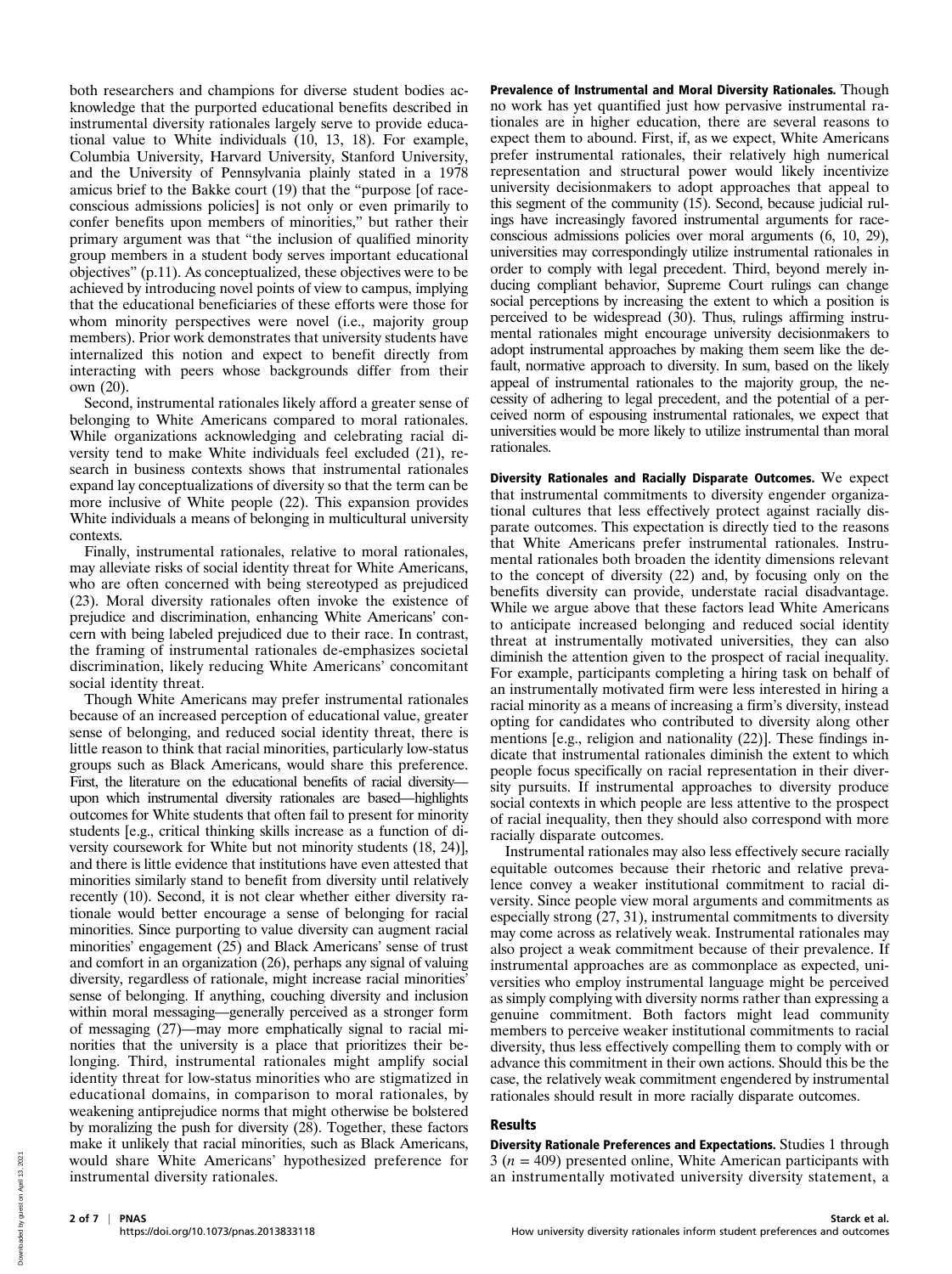both researchers and champions for diverse student bodies acknowledge that the purported educational benefits described in instrumental diversity rationales largely serve to provide educational value to White individuals (10, 13, 18). For example, Columbia University, Harvard University, Stanford University, and the University of Pennsylvania plainly stated in a 1978 amicus brief to the Bakke court (19) that the "purpose [of raceconscious admissions policies] is not only or even primarily to confer benefits upon members of minorities," but rather their primary argument was that "the inclusion of qualified minority group members in a student body serves important educational objectives" (p.11). As conceptualized, these objectives were to be achieved by introducing novel points of view to campus, implying that the educational beneficiaries of these efforts were those for whom minority perspectives were novel (i.e., majority group members). Prior work demonstrates that university students have internalized this notion and expect to benefit directly from interacting with peers whose backgrounds differ from their own (20).

Second, instrumental rationales likely afford a greater sense of belonging to White Americans compared to moral rationales. While organizations acknowledging and celebrating racial diversity tend to make White individuals feel excluded (21), research in business contexts shows that instrumental rationales expand lay conceptualizations of diversity so that the term can be more inclusive of White people (22). This expansion provides White individuals a means of belonging in multicultural university contexts.

Finally, instrumental rationales, relative to moral rationales, may alleviate risks of social identity threat for White Americans, who are often concerned with being stereotyped as prejudiced (23). Moral diversity rationales often invoke the existence of prejudice and discrimination, enhancing White Americans' concern with being labeled prejudiced due to their race. In contrast, the framing of instrumental rationales de-emphasizes societal discrimination, likely reducing White Americans' concomitant social identity threat.

Though White Americans may prefer instrumental rationales because of an increased perception of educational value, greater sense of belonging, and reduced social identity threat, there is little reason to think that racial minorities, particularly low-status groups such as Black Americans, would share this preference. First, the literature on the educational benefits of racial diversity upon which instrumental diversity rationales are based—highlights outcomes for White students that often fail to present for minority students [e.g., critical thinking skills increase as a function of diversity coursework for White but not minority students (18, 24)], and there is little evidence that institutions have even attested that minorities similarly stand to benefit from diversity until relatively recently (10). Second, it is not clear whether either diversity rationale would better encourage a sense of belonging for racial minorities. Since purporting to value diversity can augment racial minorities' engagement (25) and Black Americans' sense of trust and comfort in an organization (26), perhaps any signal of valuing diversity, regardless of rationale, might increase racial minorities' sense of belonging. If anything, couching diversity and inclusion within moral messaging—generally perceived as a stronger form of messaging (27)—may more emphatically signal to racial minorities that the university is a place that prioritizes their belonging. Third, instrumental rationales might amplify social identity threat for low-status minorities who are stigmatized in educational domains, in comparison to moral rationales, by weakening antiprejudice norms that might otherwise be bolstered by moralizing the push for diversity (28). Together, these factors make it unlikely that racial minorities, such as Black Americans, would share White Americans' hypothesized preference for instrumental diversity rationales.

Prevalence of Instrumental and Moral Diversity Rationales. Though no work has yet quantified just how pervasive instrumental rationales are in higher education, there are several reasons to expect them to abound. First, if, as we expect, White Americans prefer instrumental rationales, their relatively high numerical representation and structural power would likely incentivize university decisionmakers to adopt approaches that appeal to this segment of the community (15). Second, because judicial rulings have increasingly favored instrumental arguments for raceconscious admissions policies over moral arguments (6, 10, 29), universities may correspondingly utilize instrumental rationales in order to comply with legal precedent. Third, beyond merely inducing compliant behavior, Supreme Court rulings can change social perceptions by increasing the extent to which a position is perceived to be widespread (30). Thus, rulings affirming instrumental rationales might encourage university decisionmakers to adopt instrumental approaches by making them seem like the default, normative approach to diversity. In sum, based on the likely appeal of instrumental rationales to the majority group, the necessity of adhering to legal precedent, and the potential of a perceived norm of espousing instrumental rationales, we expect that universities would be more likely to utilize instrumental than moral rationales.

Diversity Rationales and Racially Disparate Outcomes. We expect that instrumental commitments to diversity engender organizational cultures that less effectively protect against racially disparate outcomes. This expectation is directly tied to the reasons that White Americans prefer instrumental rationales. Instrumental rationales both broaden the identity dimensions relevant to the concept of diversity (22) and, by focusing only on the benefits diversity can provide, understate racial disadvantage. While we argue above that these factors lead White Americans to anticipate increased belonging and reduced social identity threat at instrumentally motivated universities, they can also diminish the attention given to the prospect of racial inequality. For example, participants completing a hiring task on behalf of an instrumentally motivated firm were less interested in hiring a racial minority as a means of increasing a firm's diversity, instead opting for candidates who contributed to diversity along other mentions [e.g., religion and nationality (22)]. These findings indicate that instrumental rationales diminish the extent to which people focus specifically on racial representation in their diversity pursuits. If instrumental approaches to diversity produce social contexts in which people are less attentive to the prospect of racial inequality, then they should also correspond with more racially disparate outcomes.

Instrumental rationales may also less effectively secure racially equitable outcomes because their rhetoric and relative prevalence convey a weaker institutional commitment to racial diversity. Since people view moral arguments and commitments as especially strong (27, 31), instrumental commitments to diversity may come across as relatively weak. Instrumental rationales may also project a weak commitment because of their prevalence. If instrumental approaches are as commonplace as expected, universities who employ instrumental language might be perceived as simply complying with diversity norms rather than expressing a genuine commitment. Both factors might lead community members to perceive weaker institutional commitments to racial diversity, thus less effectively compelling them to comply with or advance this commitment in their own actions. Should this be the case, the relatively weak commitment engendered by instrumental rationales should result in more racially disparate outcomes.

## Results

Diversity Rationale Preferences and Expectations. Studies 1 through  $3 (n = 409)$  presented online, White American participants with an instrumentally motivated university diversity statement, a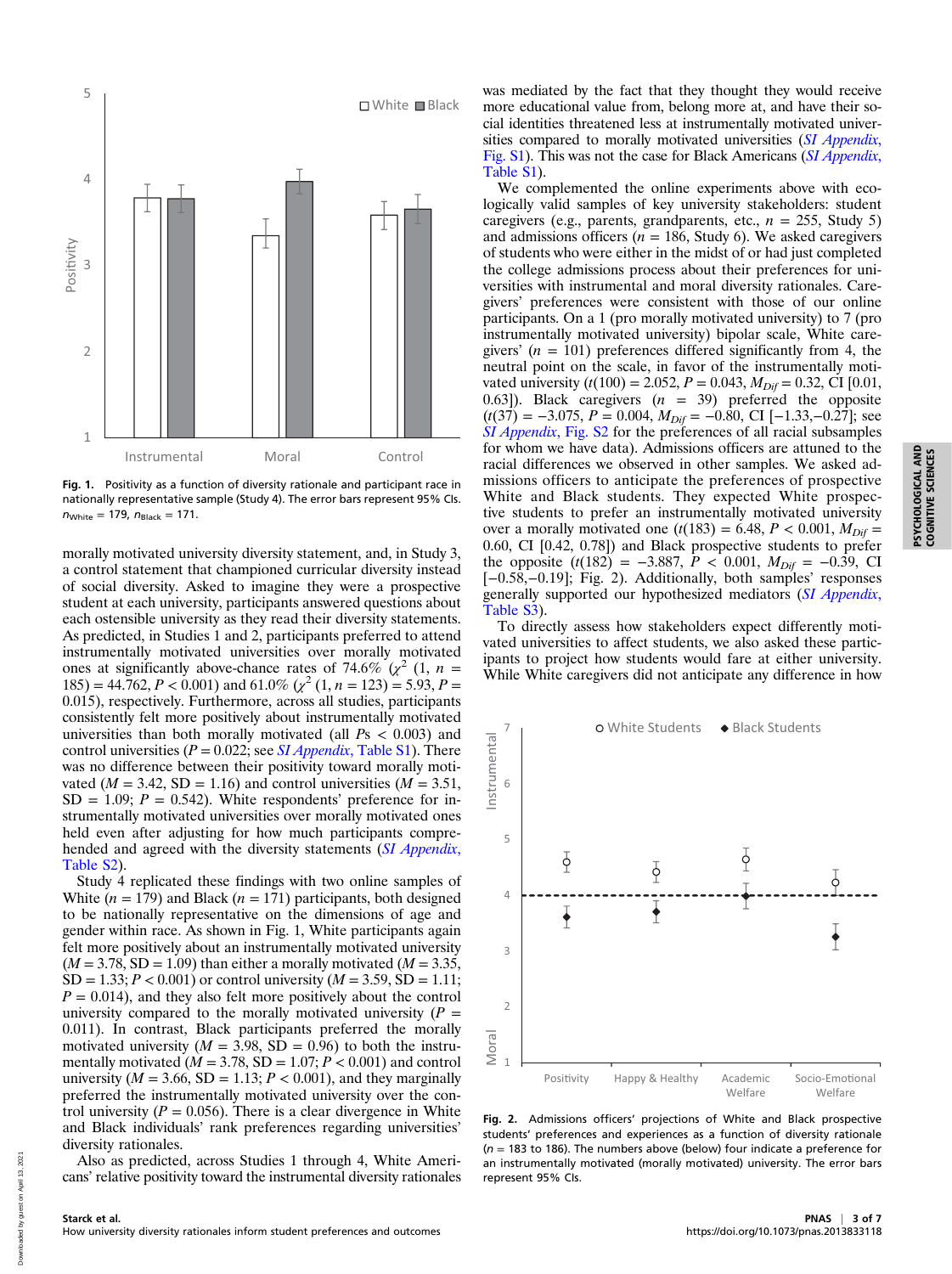

Fig. 1. Positivity as a function of diversity rationale and participant race in nationally representative sample (Study 4). The error bars represent 95% CIs.  $n_{White} = 179$ ,  $n_{Black} = 171$ .

morally motivated university diversity statement, and, in Study 3, a control statement that championed curricular diversity instead of social diversity. Asked to imagine they were a prospective student at each university, participants answered questions about each ostensible university as they read their diversity statements. As predicted, in Studies 1 and 2, participants preferred to attend instrumentally motivated universities over morally motivated ones at significantly above-chance rates of 74.6% ( $\chi^2$  (1, n =  $185$ ) = 44.762, P < 0.001) and 61.0% ( $\chi^2$  (1, n = 123) = 5.93, P = 0.015), respectively. Furthermore, across all studies, participants consistently felt more positively about instrumentally motivated universities than both morally motivated (all  $Ps < 0.003$ ) and control universities ( $P = 0.022$ ; see *SI Appendix*[, Table S1\)](https://www.pnas.org/lookup/suppl/doi:10.1073/pnas.2013833118/-/DCSupplemental). There was no difference between their positivity toward morally motivated ( $M = 3.42$ , SD = 1.16) and control universities ( $M = 3.51$ ,  $SD = 1.09$ ;  $P = 0.542$ ). White respondents' preference for instrumentally motivated universities over morally motivated ones held even after adjusting for how much participants compre-hended and agreed with the diversity statements ([SI Appendix](https://www.pnas.org/lookup/suppl/doi:10.1073/pnas.2013833118/-/DCSupplemental), [Table S2](https://www.pnas.org/lookup/suppl/doi:10.1073/pnas.2013833118/-/DCSupplemental)).

Study 4 replicated these findings with two online samples of White  $(n = 179)$  and Black  $(n = 171)$  participants, both designed to be nationally representative on the dimensions of age and gender within race. As shown in Fig. 1, White participants again felt more positively about an instrumentally motivated university  $(M = 3.78, SD = 1.09)$  than either a morally motivated  $(M = 3.35,$  $SD = 1.33; P < 0.001$  or control university ( $M = 3.59$ ,  $SD = 1.11;$  $P = 0.014$ , and they also felt more positively about the control university compared to the morally motivated university  $(P =$ 0.011). In contrast, Black participants preferred the morally motivated university ( $M = 3.98$ ,  $SD = 0.96$ ) to both the instrumentally motivated ( $M = 3.78$ , SD = 1.07;  $P < 0.001$ ) and control university ( $M = 3.66$ , SD = 1.13;  $P < 0.001$ ), and they marginally preferred the instrumentally motivated university over the control university ( $P = 0.056$ ). There is a clear divergence in White and Black individuals' rank preferences regarding universities' diversity rationales.

Also as predicted, across Studies 1 through 4, White Americans' relative positivity toward the instrumental diversity rationales was mediated by the fact that they thought they would receive more educational value from, belong more at, and have their social identities threatened less at instrumentally motivated univer-sities compared to morally motivated universities ([SI Appendix](https://www.pnas.org/lookup/suppl/doi:10.1073/pnas.2013833118/-/DCSupplemental), [Fig. S1\)](https://www.pnas.org/lookup/suppl/doi:10.1073/pnas.2013833118/-/DCSupplemental). This was not the case for Black Americans ([SI Appendix](https://www.pnas.org/lookup/suppl/doi:10.1073/pnas.2013833118/-/DCSupplemental), [Table S1](https://www.pnas.org/lookup/suppl/doi:10.1073/pnas.2013833118/-/DCSupplemental)).

We complemented the online experiments above with ecologically valid samples of key university stakeholders: student caregivers (e.g., parents, grandparents, etc.,  $n = 255$ , Study 5) and admissions officers ( $n = 186$ , Study 6). We asked caregivers of students who were either in the midst of or had just completed the college admissions process about their preferences for universities with instrumental and moral diversity rationales. Caregivers' preferences were consistent with those of our online participants. On a 1 (pro morally motivated university) to 7 (pro instrumentally motivated university) bipolar scale, White caregivers'  $(n = 101)$  preferences differed significantly from 4, the neutral point on the scale, in favor of the instrumentally motivated university ( $t(100) = 2.052$ ,  $P = 0.043$ ,  $M_{Diff} = 0.32$ , CI [0.01, 0.63]). Black caregivers  $(n = 39)$  preferred the opposite  $(t(37) = -3.075, P = 0.004, M<sub>Dif</sub> = -0.80, CI [-1.33, -0.27];$  see [SI Appendix](https://www.pnas.org/lookup/suppl/doi:10.1073/pnas.2013833118/-/DCSupplemental), Fig. S2 for the preferences of all racial subsamples for whom we have data). Admissions officers are attuned to the racial differences we observed in other samples. We asked admissions officers to anticipate the preferences of prospective White and Black students. They expected White prospective students to prefer an instrumentally motivated university over a morally motivated one  $(t(183) = 6.48, P < 0.001, M_{Diff} =$ 0.60, CI [0.42, 0.78]) and Black prospective students to prefer the opposite  $(t(182) = -3.887, P < 0.001, M_{Diff} = -0.39, \text{ CI}$ [−0.58,−0.19]; Fig. 2). Additionally, both samples' responses generally supported our hypothesized mediators ([SI Appendix](https://www.pnas.org/lookup/suppl/doi:10.1073/pnas.2013833118/-/DCSupplemental), [Table S3\)](https://www.pnas.org/lookup/suppl/doi:10.1073/pnas.2013833118/-/DCSupplemental).

To directly assess how stakeholders expect differently motivated universities to affect students, we also asked these participants to project how students would fare at either university. While White caregivers did not anticipate any difference in how



Fig. 2. Admissions officers' projections of White and Black prospective students' preferences and experiences as a function of diversity rationale ( $n = 183$  to 186). The numbers above (below) four indicate a preference for an instrumentally motivated (morally motivated) university. The error bars represent 95% CIs.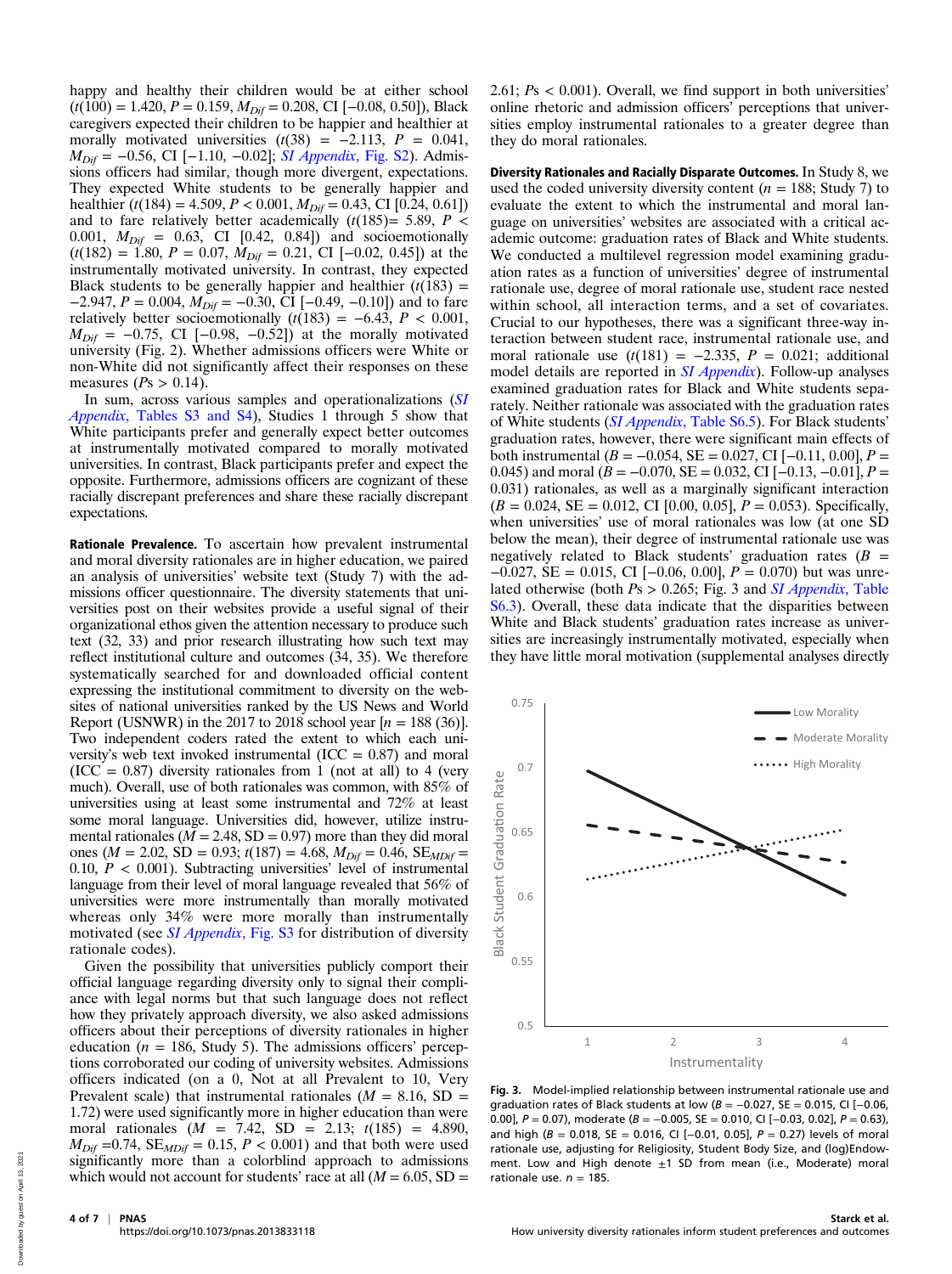happy and healthy their children would be at either school  $(t(100) = 1.420, P = 0.159, M_{\text{Diff}} = 0.208, \text{CI} [-0.08, 0.50]), \text{Black}$ caregivers expected their children to be happier and healthier at morally motivated universities  $(t(38) = -2.113, P = 0.041,$  $M_{\text{Diff}}$  = −0.56, CI [−1.10, −0.02]; [SI Appendix](https://www.pnas.org/lookup/suppl/doi:10.1073/pnas.2013833118/-/DCSupplemental), Fig. S2). Admissions officers had similar, though more divergent, expectations. They expected White students to be generally happier and healthier (t(184) = 4.509,  $P < 0.001$ ,  $M_{Diff} = 0.43$ , CI [0.24, 0.61]) and to fare relatively better academically  $(t(185)= 5.89, P \le$ 0.001,  $M_{Diff} = 0.63$ , CI [0.42, 0.84]) and socioemotionally  $(t(182) = 1.80, P = 0.07, M<sub>Diff</sub> = 0.21, CI [-0.02, 0.45])$  at the instrumentally motivated university. In contrast, they expected Black students to be generally happier and healthier  $(t(183) =$ −2.947,  $P = 0.004$ ,  $M_{Diff} = -0.30$ , CI [−0.49, −0.10]) and to fare relatively better socioemotionally  $(t(183) = -6.43, P < 0.001,$  $M_{\text{Diff}}$  = −0.75, CI [−0.98, −0.52]) at the morally motivated university (Fig. 2). Whether admissions officers were White or non-White did not significantly affect their responses on these measures ( $Ps > 0.14$ ).

In sum, across various samples and operationalizations ([SI](https://www.pnas.org/lookup/suppl/doi:10.1073/pnas.2013833118/-/DCSupplemental) Appendix[, Tables S3 and S4](https://www.pnas.org/lookup/suppl/doi:10.1073/pnas.2013833118/-/DCSupplemental)), Studies 1 through 5 show that White participants prefer and generally expect better outcomes at instrumentally motivated compared to morally motivated universities. In contrast, Black participants prefer and expect the opposite. Furthermore, admissions officers are cognizant of these racially discrepant preferences and share these racially discrepant expectations.

Rationale Prevalence. To ascertain how prevalent instrumental and moral diversity rationales are in higher education, we paired an analysis of universities' website text (Study 7) with the admissions officer questionnaire. The diversity statements that universities post on their websites provide a useful signal of their organizational ethos given the attention necessary to produce such text (32, 33) and prior research illustrating how such text may reflect institutional culture and outcomes (34, 35). We therefore systematically searched for and downloaded official content expressing the institutional commitment to diversity on the websites of national universities ranked by the US News and World Report (USNWR) in the 2017 to 2018 school year  $[n = 188 (36)]$ . Two independent coders rated the extent to which each university's web text invoked instrumental ( $ICC = 0.87$ ) and moral  $(ICC = 0.87)$  diversity rationales from 1 (not at all) to 4 (very much). Overall, use of both rationales was common, with 85% of universities using at least some instrumental and 72% at least some moral language. Universities did, however, utilize instrumental rationales ( $M = 2.48$ , SD = 0.97) more than they did moral ones ( $M = 2.02$ , SD = 0.93;  $t(187) = 4.68$ ,  $M_{Diff} = 0.46$ , SE<sub>MDif</sub> = 0.10,  $P < 0.001$ ). Subtracting universities' level of instrumental language from their level of moral language revealed that 56% of universities were more instrumentally than morally motivated whereas only 34% were more morally than instrumentally motivated (see *[SI Appendix](https://www.pnas.org/lookup/suppl/doi:10.1073/pnas.2013833118/-/DCSupplemental)*, Fig. S3 for distribution of diversity rationale codes).

Given the possibility that universities publicly comport their official language regarding diversity only to signal their compliance with legal norms but that such language does not reflect how they privately approach diversity, we also asked admissions officers about their perceptions of diversity rationales in higher education ( $n = 186$ , Study 5). The admissions officers' perceptions corroborated our coding of university websites. Admissions officers indicated (on a 0, Not at all Prevalent to 10, Very Prevalent scale) that instrumental rationales ( $M = 8.16$ , SD = 1.72) were used significantly more in higher education than were moral rationales ( $M = 7.42$ , SD = 2.13;  $t(185) = 4.890$ ,  $M_{Diff}$  =0.74, SE<sub>MDif</sub> = 0.15,  $P < 0.001$ ) and that both were used significantly more than a colorblind approach to admissions which would not account for students' race at all  $(M = 6.05, SD =$  2.61;  $Ps < 0.001$ ). Overall, we find support in both universities' online rhetoric and admission officers' perceptions that universities employ instrumental rationales to a greater degree than they do moral rationales.

Diversity Rationales and Racially Disparate Outcomes. In Study 8, we used the coded university diversity content ( $n = 188$ ; Study 7) to evaluate the extent to which the instrumental and moral language on universities' websites are associated with a critical academic outcome: graduation rates of Black and White students. We conducted a multilevel regression model examining graduation rates as a function of universities' degree of instrumental rationale use, degree of moral rationale use, student race nested within school, all interaction terms, and a set of covariates. Crucial to our hypotheses, there was a significant three-way interaction between student race, instrumental rationale use, and moral rationale use  $(t(181) = -2.335, P = 0.021;$  additional model details are reported in *[SI Appendix](https://www.pnas.org/lookup/suppl/doi:10.1073/pnas.2013833118/-/DCSupplemental)*). Follow-up analyses examined graduation rates for Black and White students separately. Neither rationale was associated with the graduation rates of White students (SI Appendix[, Table S6.5\)](https://www.pnas.org/lookup/suppl/doi:10.1073/pnas.2013833118/-/DCSupplemental). For Black students' graduation rates, however, there were significant main effects of both instrumental ( $B = -0.054$ , SE = 0.027, CI [-0.11, 0.00], P = 0.045) and moral ( $B = -0.070$ ,  $SE = 0.032$ , CI [-0.13, -0.01],  $P =$ 0.031) rationales, as well as a marginally significant interaction  $(B = 0.024, SE = 0.012, CI$  [0.00, 0.05],  $P = 0.053$ ). Specifically, when universities' use of moral rationales was low (at one SD below the mean), their degree of instrumental rationale use was negatively related to Black students' graduation rates ( $B =$  $-0.027$ , SE = 0.015, CI [ $-0.06$ , 0.00],  $P = 0.070$ ) but was unrelated otherwise (both  $Ps > 0.265$ ; Fig. 3 and *[SI Appendix](https://www.pnas.org/lookup/suppl/doi:10.1073/pnas.2013833118/-/DCSupplemental)*, Table [S6.3](https://www.pnas.org/lookup/suppl/doi:10.1073/pnas.2013833118/-/DCSupplemental)). Overall, these data indicate that the disparities between White and Black students' graduation rates increase as universities are increasingly instrumentally motivated, especially when they have little moral motivation (supplemental analyses directly



Fig. 3. Model-implied relationship between instrumental rationale use and graduation rates of Black students at low ( $B = -0.027$ , SE = 0.015, CI [-0.06, 0.00],  $P = 0.07$ ), moderate ( $B = -0.005$ , SE = 0.010, CI [-0.03, 0.02],  $P = 0.63$ ), and high ( $B = 0.018$ , SE = 0.016, CI [-0.01, 0.05],  $P = 0.27$ ) levels of moral rationale use, adjusting for Religiosity, Student Body Size, and (log)Endowment. Low and High denote  $\pm 1$  SD from mean (i.e., Moderate) moral rationale use.  $n = 185$ .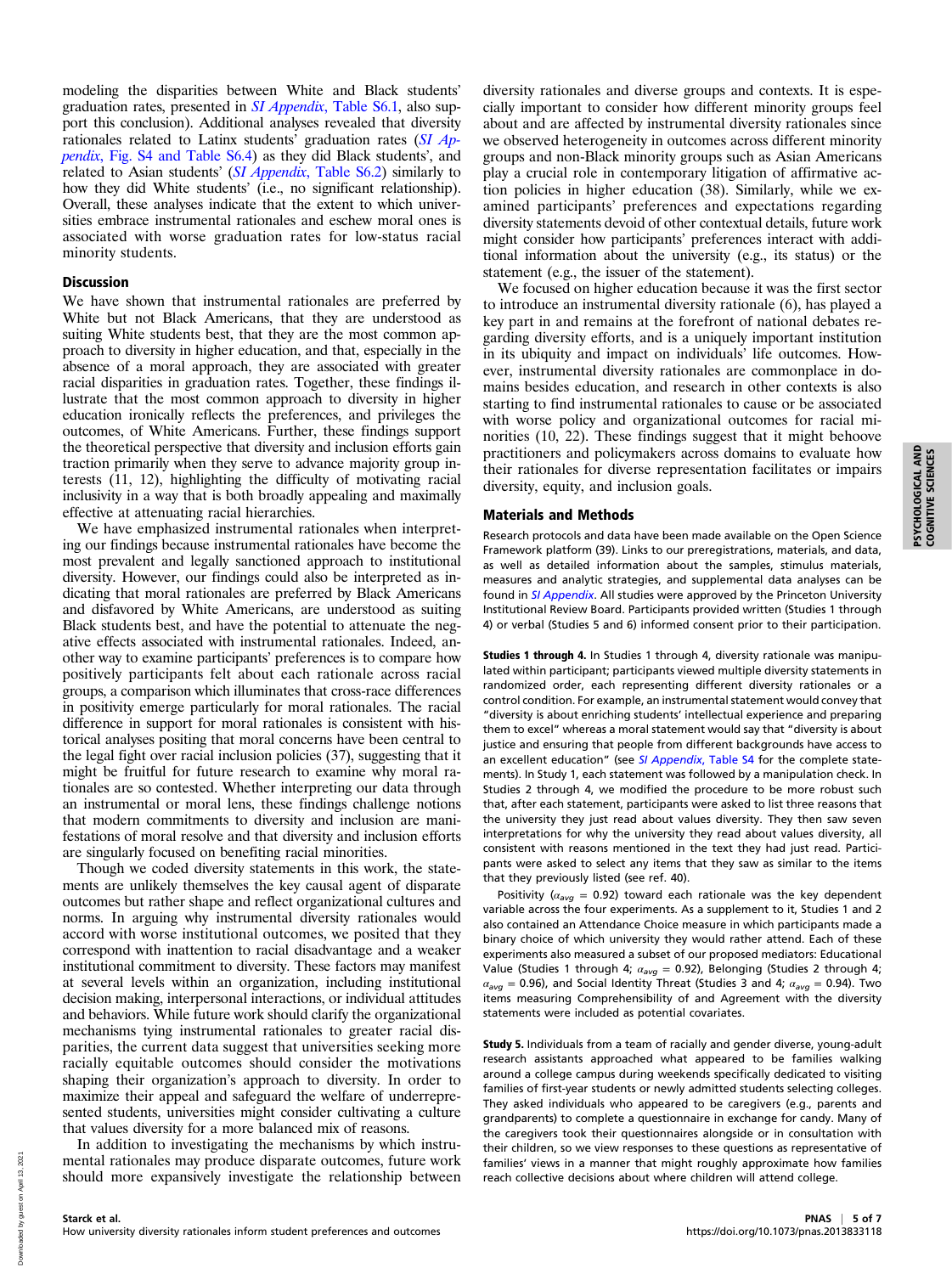modeling the disparities between White and Black students' graduation rates, presented in SI Appendix[, Table S6.1,](https://www.pnas.org/lookup/suppl/doi:10.1073/pnas.2013833118/-/DCSupplemental) also support this conclusion). Additional analyses revealed that diversity rationales related to Latinx students' graduation rates ([SI Ap](https://www.pnas.org/lookup/suppl/doi:10.1073/pnas.2013833118/-/DCSupplemental)pendix[, Fig. S4 and Table S6.4\)](https://www.pnas.org/lookup/suppl/doi:10.1073/pnas.2013833118/-/DCSupplemental) as they did Black students', and related to Asian students' (SI Appendix[, Table S6.2](https://www.pnas.org/lookup/suppl/doi:10.1073/pnas.2013833118/-/DCSupplemental)) similarly to how they did White students' (i.e., no significant relationship). Overall, these analyses indicate that the extent to which universities embrace instrumental rationales and eschew moral ones is associated with worse graduation rates for low-status racial minority students.

#### **Discussion**

We have shown that instrumental rationales are preferred by White but not Black Americans, that they are understood as suiting White students best, that they are the most common approach to diversity in higher education, and that, especially in the absence of a moral approach, they are associated with greater racial disparities in graduation rates. Together, these findings illustrate that the most common approach to diversity in higher education ironically reflects the preferences, and privileges the outcomes, of White Americans. Further, these findings support the theoretical perspective that diversity and inclusion efforts gain traction primarily when they serve to advance majority group interests (11, 12), highlighting the difficulty of motivating racial inclusivity in a way that is both broadly appealing and maximally effective at attenuating racial hierarchies.

We have emphasized instrumental rationales when interpreting our findings because instrumental rationales have become the most prevalent and legally sanctioned approach to institutional diversity. However, our findings could also be interpreted as indicating that moral rationales are preferred by Black Americans and disfavored by White Americans, are understood as suiting Black students best, and have the potential to attenuate the negative effects associated with instrumental rationales. Indeed, another way to examine participants' preferences is to compare how positively participants felt about each rationale across racial groups, a comparison which illuminates that cross-race differences in positivity emerge particularly for moral rationales. The racial difference in support for moral rationales is consistent with historical analyses positing that moral concerns have been central to the legal fight over racial inclusion policies (37), suggesting that it might be fruitful for future research to examine why moral rationales are so contested. Whether interpreting our data through an instrumental or moral lens, these findings challenge notions that modern commitments to diversity and inclusion are manifestations of moral resolve and that diversity and inclusion efforts are singularly focused on benefiting racial minorities.

Though we coded diversity statements in this work, the statements are unlikely themselves the key causal agent of disparate outcomes but rather shape and reflect organizational cultures and norms. In arguing why instrumental diversity rationales would accord with worse institutional outcomes, we posited that they correspond with inattention to racial disadvantage and a weaker institutional commitment to diversity. These factors may manifest at several levels within an organization, including institutional decision making, interpersonal interactions, or individual attitudes and behaviors. While future work should clarify the organizational mechanisms tying instrumental rationales to greater racial disparities, the current data suggest that universities seeking more racially equitable outcomes should consider the motivations shaping their organization's approach to diversity. In order to maximize their appeal and safeguard the welfare of underrepresented students, universities might consider cultivating a culture that values diversity for a more balanced mix of reasons.

In addition to investigating the mechanisms by which instrumental rationales may produce disparate outcomes, future work should more expansively investigate the relationship between diversity rationales and diverse groups and contexts. It is especially important to consider how different minority groups feel about and are affected by instrumental diversity rationales since we observed heterogeneity in outcomes across different minority groups and non-Black minority groups such as Asian Americans play a crucial role in contemporary litigation of affirmative action policies in higher education (38). Similarly, while we examined participants' preferences and expectations regarding diversity statements devoid of other contextual details, future work might consider how participants' preferences interact with additional information about the university (e.g., its status) or the statement (e.g., the issuer of the statement).

We focused on higher education because it was the first sector to introduce an instrumental diversity rationale (6), has played a key part in and remains at the forefront of national debates regarding diversity efforts, and is a uniquely important institution in its ubiquity and impact on individuals' life outcomes. However, instrumental diversity rationales are commonplace in domains besides education, and research in other contexts is also starting to find instrumental rationales to cause or be associated with worse policy and organizational outcomes for racial minorities (10, 22). These findings suggest that it might behoove practitioners and policymakers across domains to evaluate how their rationales for diverse representation facilitates or impairs diversity, equity, and inclusion goals.

#### Materials and Methods

Research protocols and data have been made available on the Open Science Framework platform (39). Links to our preregistrations, materials, and data, as well as detailed information about the samples, stimulus materials, measures and analytic strategies, and supplemental data analyses can be found in [SI Appendix](https://www.pnas.org/lookup/suppl/doi:10.1073/pnas.2013833118/-/DCSupplemental). All studies were approved by the Princeton University Institutional Review Board. Participants provided written (Studies 1 through 4) or verbal (Studies 5 and 6) informed consent prior to their participation.

Studies 1 through 4. In Studies 1 through 4, diversity rationale was manipulated within participant; participants viewed multiple diversity statements in randomized order, each representing different diversity rationales or a control condition. For example, an instrumental statement would convey that "diversity is about enriching students' intellectual experience and preparing them to excel" whereas a moral statement would say that "diversity is about justice and ensuring that people from different backgrounds have access to an excellent education" (see [SI Appendix](https://www.pnas.org/lookup/suppl/doi:10.1073/pnas.2013833118/-/DCSupplemental), Table S4 for the complete statements). In Study 1, each statement was followed by a manipulation check. In Studies 2 through 4, we modified the procedure to be more robust such that, after each statement, participants were asked to list three reasons that the university they just read about values diversity. They then saw seven interpretations for why the university they read about values diversity, all consistent with reasons mentioned in the text they had just read. Participants were asked to select any items that they saw as similar to the items that they previously listed (see ref. 40).

Positivity ( $\alpha_{avg}$  = 0.92) toward each rationale was the key dependent variable across the four experiments. As a supplement to it, Studies 1 and 2 also contained an Attendance Choice measure in which participants made a binary choice of which university they would rather attend. Each of these experiments also measured a subset of our proposed mediators: Educational Value (Studies 1 through 4;  $\alpha_{avg} = 0.92$ ), Belonging (Studies 2 through 4;  $\alpha_{\text{avg}} = 0.96$ ), and Social Identity Threat (Studies 3 and 4;  $\alpha_{\text{avg}} = 0.94$ ). Two items measuring Comprehensibility of and Agreement with the diversity statements were included as potential covariates.

Study 5. Individuals from a team of racially and gender diverse, young-adult research assistants approached what appeared to be families walking around a college campus during weekends specifically dedicated to visiting families of first-year students or newly admitted students selecting colleges. They asked individuals who appeared to be caregivers (e.g., parents and grandparents) to complete a questionnaire in exchange for candy. Many of the caregivers took their questionnaires alongside or in consultation with their children, so we view responses to these questions as representative of families' views in a manner that might roughly approximate how families reach collective decisions about where children will attend college.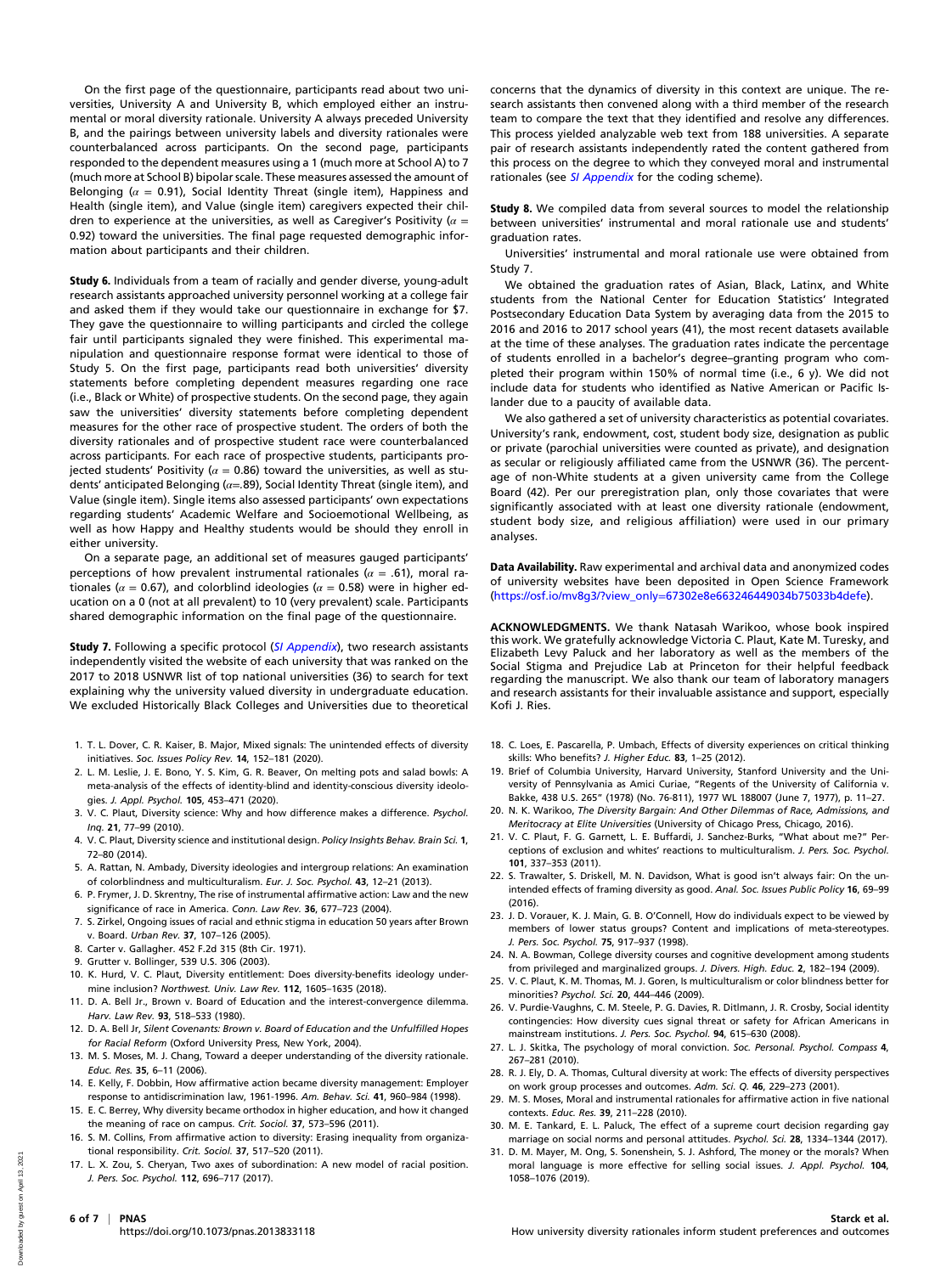On the first page of the questionnaire, participants read about two universities, University A and University B, which employed either an instrumental or moral diversity rationale. University A always preceded University B, and the pairings between university labels and diversity rationales were counterbalanced across participants. On the second page, participants responded to the dependent measures using a 1 (much more at School A) to 7 (much more at School B) bipolar scale. These measures assessed the amount of Belonging ( $\alpha = 0.91$ ), Social Identity Threat (single item), Happiness and Health (single item), and Value (single item) caregivers expected their children to experience at the universities, as well as Caregiver's Positivity ( $\alpha =$ 0.92) toward the universities. The final page requested demographic information about participants and their children.

Study 6. Individuals from a team of racially and gender diverse, young-adult research assistants approached university personnel working at a college fair and asked them if they would take our questionnaire in exchange for \$7. They gave the questionnaire to willing participants and circled the college fair until participants signaled they were finished. This experimental manipulation and questionnaire response format were identical to those of Study 5. On the first page, participants read both universities' diversity statements before completing dependent measures regarding one race (i.e., Black or White) of prospective students. On the second page, they again saw the universities' diversity statements before completing dependent measures for the other race of prospective student. The orders of both the diversity rationales and of prospective student race were counterbalanced across participants. For each race of prospective students, participants projected students' Positivity ( $\alpha = 0.86$ ) toward the universities, as well as students' anticipated Belonging ( $\alpha$ =.89), Social Identity Threat (single item), and Value (single item). Single items also assessed participants' own expectations regarding students' Academic Welfare and Socioemotional Wellbeing, as well as how Happy and Healthy students would be should they enroll in either university.

On a separate page, an additional set of measures gauged participants' perceptions of how prevalent instrumental rationales ( $\alpha = .61$ ), moral rationales ( $\alpha$  = 0.67), and colorblind ideologies ( $\alpha$  = 0.58) were in higher education on a 0 (not at all prevalent) to 10 (very prevalent) scale. Participants shared demographic information on the final page of the questionnaire.

Study 7. Following a specific protocol ([SI Appendix](https://www.pnas.org/lookup/suppl/doi:10.1073/pnas.2013833118/-/DCSupplemental)), two research assistants independently visited the website of each university that was ranked on the 2017 to 2018 USNWR list of top national universities (36) to search for text explaining why the university valued diversity in undergraduate education. We excluded Historically Black Colleges and Universities due to theoretical

- 1. T. L. Dover, C. R. Kaiser, B. Major, Mixed signals: The unintended effects of diversity initiatives. Soc. Issues Policy Rev. 14, 152–181 (2020).
- 2. L. M. Leslie, J. E. Bono, Y. S. Kim, G. R. Beaver, On melting pots and salad bowls: A meta-analysis of the effects of identity-blind and identity-conscious diversity ideologies. J. Appl. Psychol. 105, 453–471 (2020).
- 3. V. C. Plaut, Diversity science: Why and how difference makes a difference. Psychol. Inq. 21, 77–99 (2010).
- 4. V. C. Plaut, Diversity science and institutional design. Policy Insights Behav. Brain Sci. 1, 72–80 (2014).
- 5. A. Rattan, N. Ambady, Diversity ideologies and intergroup relations: An examination of colorblindness and multiculturalism. Eur. J. Soc. Psychol. 43, 12–21 (2013).
- 6. P. Frymer, J. D. Skrentny, The rise of instrumental affirmative action: Law and the new significance of race in America. Conn. Law Rev. 36, 677–723 (2004).
- 7. S. Zirkel, Ongoing issues of racial and ethnic stigma in education 50 years after Brown v. Board. Urban Rev. 37, 107–126 (2005).
- 8. Carter v. Gallagher. 452 F.2d 315 (8th Cir. 1971).
- 9. Grutter v. Bollinger, 539 U.S. 306 (2003).
- 10. K. Hurd, V. C. Plaut, Diversity entitlement: Does diversity-benefits ideology undermine inclusion? Northwest. Univ. Law Rev. 112, 1605–1635 (2018).
- 11. D. A. Bell Jr., Brown v. Board of Education and the interest-convergence dilemma. Harv. Law Rev. 93, 518–533 (1980).
- 12. D. A. Bell Jr, Silent Covenants: Brown v. Board of Education and the Unfulfilled Hopes for Racial Reform (Oxford University Press, New York, 2004).
- 13. M. S. Moses, M. J. Chang, Toward a deeper understanding of the diversity rationale. Educ. Res. 35, 6–11 (2006).
- 14. E. Kelly, F. Dobbin, How affirmative action became diversity management: Employer response to antidiscrimination law, 1961-1996. Am. Behav. Sci. 41, 960–984 (1998).
- 15. E. C. Berrey, Why diversity became orthodox in higher education, and how it changed the meaning of race on campus. Crit. Sociol. 37, 573–596 (2011).
- 16. S. M. Collins, From affirmative action to diversity: Erasing inequality from organizational responsibility. Crit. Sociol. 37, 517–520 (2011).
- 17. L. X. Zou, S. Cheryan, Two axes of subordination: A new model of racial position. J. Pers. Soc. Psychol. 112, 696–717 (2017).

concerns that the dynamics of diversity in this context are unique. The research assistants then convened along with a third member of the research team to compare the text that they identified and resolve any differences. This process yielded analyzable web text from 188 universities. A separate pair of research assistants independently rated the content gathered from this process on the degree to which they conveyed moral and instrumental rationales (see [SI Appendix](https://www.pnas.org/lookup/suppl/doi:10.1073/pnas.2013833118/-/DCSupplemental) for the coding scheme).

Study 8. We compiled data from several sources to model the relationship between universities' instrumental and moral rationale use and students' graduation rates.

Universities' instrumental and moral rationale use were obtained from Study 7.

We obtained the graduation rates of Asian, Black, Latinx, and White students from the National Center for Education Statistics' Integrated Postsecondary Education Data System by averaging data from the 2015 to 2016 and 2016 to 2017 school years (41), the most recent datasets available at the time of these analyses. The graduation rates indicate the percentage of students enrolled in a bachelor's degree–granting program who completed their program within 150% of normal time (i.e., 6 y). We did not include data for students who identified as Native American or Pacific Islander due to a paucity of available data.

We also gathered a set of university characteristics as potential covariates. University's rank, endowment, cost, student body size, designation as public or private (parochial universities were counted as private), and designation as secular or religiously affiliated came from the USNWR (36). The percentage of non-White students at a given university came from the College Board (42). Per our preregistration plan, only those covariates that were significantly associated with at least one diversity rationale (endowment, student body size, and religious affiliation) were used in our primary analyses.

Data Availability. Raw experimental and archival data and anonymized codes of university websites have been deposited in Open Science Framework (https://osf.io/mv8g3/?view\_only=[67302e8e663246449034b75033b4defe\)](https://osf.io/mv8g3/?view_only=67302e8e663246449034b75033b4defe).

ACKNOWLEDGMENTS. We thank Natasah Warikoo, whose book inspired this work. We gratefully acknowledge Victoria C. Plaut, Kate M. Turesky, and Elizabeth Levy Paluck and her laboratory as well as the members of the Social Stigma and Prejudice Lab at Princeton for their helpful feedback regarding the manuscript. We also thank our team of laboratory managers and research assistants for their invaluable assistance and support, especially Kofi J. Ries.

- 18. C. Loes, E. Pascarella, P. Umbach, Effects of diversity experiences on critical thinking skills: Who benefits? J. Higher Educ. 83, 1-25 (2012).
- 19. Brief of Columbia University, Harvard University, Stanford University and the University of Pennsylvania as Amici Curiae, "Regents of the University of California v. Bakke, 438 U.S. 265" (1978) (No. 76-811), 1977 WL 188007 (June 7, 1977), p. 11–27.
- 20. N. K. Warikoo, The Diversity Bargain: And Other Dilemmas of Race, Admissions, and Meritocracy at Elite Universities (University of Chicago Press, Chicago, 2016).
- 21. V. C. Plaut, F. G. Garnett, L. E. Buffardi, J. Sanchez-Burks, "What about me?" Perceptions of exclusion and whites' reactions to multiculturalism. J. Pers. Soc. Psychol. 101, 337–353 (2011).
- 22. S. Trawalter, S. Driskell, M. N. Davidson, What is good isn't always fair: On the unintended effects of framing diversity as good. Anal. Soc. Issues Public Policy 16, 69–99 (2016).
- 23. J. D. Vorauer, K. J. Main, G. B. O'Connell, How do individuals expect to be viewed by members of lower status groups? Content and implications of meta-stereotypes. J. Pers. Soc. Psychol. 75, 917–937 (1998).
- 24. N. A. Bowman, College diversity courses and cognitive development among students from privileged and marginalized groups. J. Divers. High. Educ. 2, 182-194 (2009).
- 25. V. C. Plaut, K. M. Thomas, M. J. Goren, Is multiculturalism or color blindness better for minorities? Psychol. Sci. 20, 444–446 (2009).
- 26. V. Purdie-Vaughns, C. M. Steele, P. G. Davies, R. Ditlmann, J. R. Crosby, Social identity contingencies: How diversity cues signal threat or safety for African Americans in mainstream institutions. J. Pers. Soc. Psychol. 94, 615–630 (2008).
- 27. L. J. Skitka, The psychology of moral conviction. Soc. Personal. Psychol. Compass 4, 267–281 (2010).
- 28. R. J. Ely, D. A. Thomas, Cultural diversity at work: The effects of diversity perspectives on work group processes and outcomes. Adm. Sci. Q. 46, 229–273 (2001).
- 29. M. S. Moses, Moral and instrumental rationales for affirmative action in five national contexts. Educ. Res. 39, 211–228 (2010).
- 30. M. E. Tankard, E. L. Paluck, The effect of a supreme court decision regarding gay marriage on social norms and personal attitudes. Psychol. Sci. 28, 1334–1344 (2017).
- 31. D. M. Mayer, M. Ong, S. Sonenshein, S. J. Ashford, The money or the morals? When moral language is more effective for selling social issues. J. Appl. Psychol. 104, 1058–1076 (2019).